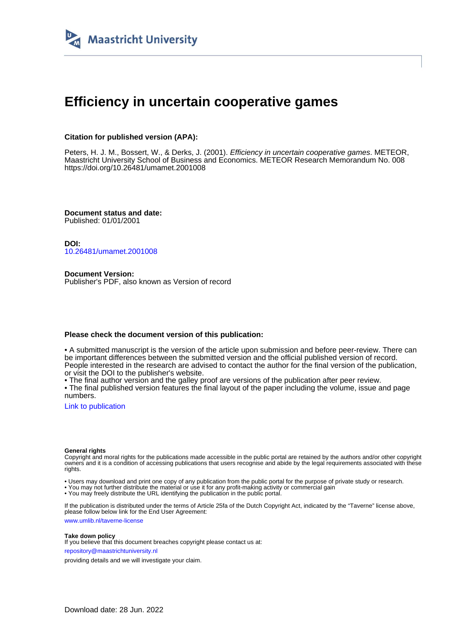

# **Efficiency in uncertain cooperative games**

#### **Citation for published version (APA):**

Peters, H. J. M., Bossert, W., & Derks, J. (2001). Efficiency in uncertain cooperative games. METEOR, Maastricht University School of Business and Economics. METEOR Research Memorandum No. 008 <https://doi.org/10.26481/umamet.2001008>

**Document status and date:** Published: 01/01/2001

**DOI:** [10.26481/umamet.2001008](https://doi.org/10.26481/umamet.2001008)

**Document Version:** Publisher's PDF, also known as Version of record

#### **Please check the document version of this publication:**

• A submitted manuscript is the version of the article upon submission and before peer-review. There can be important differences between the submitted version and the official published version of record. People interested in the research are advised to contact the author for the final version of the publication, or visit the DOI to the publisher's website.

• The final author version and the galley proof are versions of the publication after peer review.

• The final published version features the final layout of the paper including the volume, issue and page numbers.

[Link to publication](https://cris.maastrichtuniversity.nl/en/publications/44c50a83-4a10-407f-9a4a-82729a62d2e6)

#### **General rights**

Copyright and moral rights for the publications made accessible in the public portal are retained by the authors and/or other copyright owners and it is a condition of accessing publications that users recognise and abide by the legal requirements associated with these rights.

• Users may download and print one copy of any publication from the public portal for the purpose of private study or research.

• You may not further distribute the material or use it for any profit-making activity or commercial gain

• You may freely distribute the URL identifying the publication in the public portal.

If the publication is distributed under the terms of Article 25fa of the Dutch Copyright Act, indicated by the "Taverne" license above, please follow below link for the End User Agreement:

www.umlib.nl/taverne-license

#### **Take down policy**

If you believe that this document breaches copyright please contact us at: repository@maastrichtuniversity.nl

providing details and we will investigate your claim.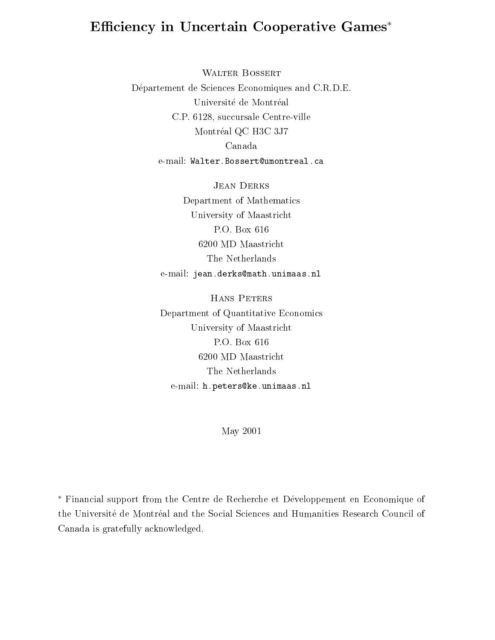# Efficiency in Uncertain Cooperative Games\*

WALTER BOSSERT Département de Sciences Economiques and C.R.D.E. Université de Montréal C.P. 6128, succursale Centre-ville Montréal QC H3C 3J7 Canada e-mail: Walter.Bossert@umontreal.ca

> **JEAN DERKS** Department of Mathematics University of Maastricht P.O. Box 616 6200 MD Maastricht The Netherlands e-mail: jean.derks@math.unimaas.nl

> Hans Peters Department of Quantitative Economics University of Maastricht P.O. Box 616 6200 MD Maastricht The Netherlands e-mail: h.peters@ke.unimaas.nl

> > May 2001

 Financial support from the Centre de Recherche et Developpement en Economique of the Universite de Montreal and the Social Sciences and Humanities Research Council of Canada is gratefully acknowledged.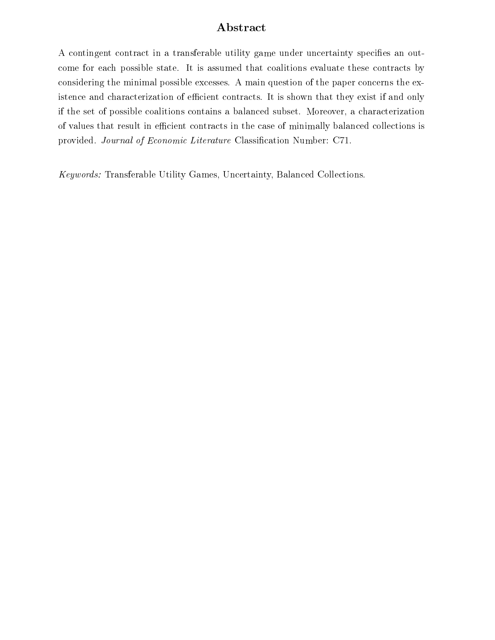## Abstract

A contingent contract in a transferable utility game under uncertainty specifies an outcome for each possible state. It is assumed that coalitions evaluate these contracts by considering the minimal possible excesses. A main question of the paper concerns the existence and characterization of efficient contracts. It is shown that they exist if and only if the set of possible coalitions contains a balanced subset. Moreover, a characterization of values that result in efficient contracts in the case of minimally balanced collections is provided. Journal of Economic Literature Classification Number: C71.

Keywords: Transferable Utility Games, Uncertainty, Balanced Collections.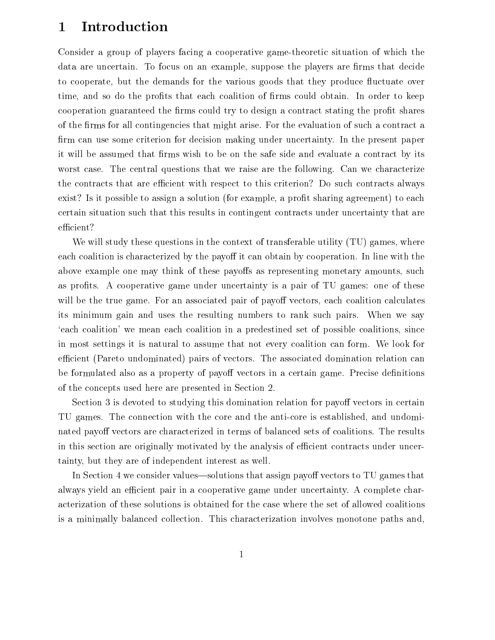#### **Introduction**  $\mathbf{1}$

Consider a group of players facing a cooperative game-theoretic situation of which the data are uncertain. To focus on an example, suppose the players are firms that decide to cooperate, but the demands for the various goods that they produce fluctuate over time, and so do the profits that each coalition of firms could obtain. In order to keep cooperation guaranteed the firms could try to design a contract stating the profit shares of the firms for all contingencies that might arise. For the evaluation of such a contract a firm can use some criterion for decision making under uncertainty. In the present paper it will be assumed that firms wish to be on the safe side and evaluate a contract by its worst case. The central questions that we raise are the following. Can we characterize the contracts that are efficient with respect to this criterion? Do such contracts always exist? Is it possible to assign a solution (for example, a profit sharing agreement) to each certain situation such that this results in contingent contracts under uncertainty that are efficient?

We will study these questions in the context of transferable utility (TU) games, where each coalition is characterized by the payoff it can obtain by cooperation. In line with the above example one may think of these payoffs as representing monetary amounts, such as profits. A cooperative game under uncertainty is a pair of TU games: one of these will be the true game. For an associated pair of payoff vectors, each coalition calculates its minimum gain and uses the resulting numbers to rank such pairs. When we say `each coalition' we mean each coalition in a predestined set of possible coalitions, since in most settings it is natural to assume that not every coalition can form. We look for efficient (Pareto undominated) pairs of vectors. The associated domination relation can be formulated also as a property of payoff vectors in a certain game. Precise definitions of the concepts used here are presented in Section 2.

Section 3 is devoted to studying this domination relation for payoff vectors in certain TU games. The connection with the core and the anti-core is established, and undominated payoff vectors are characterized in terms of balanced sets of coalitions. The results in this section are originally motivated by the analysis of efficient contracts under uncertainty, but they are of independent interest as well.

In Section 4 we consider values—solutions that assign payoff vectors to TU games that always yield an efficient pair in a cooperative game under uncertainty. A complete characterization of these solutions is obtained for the case where the set of allowed coalitions is a minimally balanced collection. This characterization involves monotone paths and,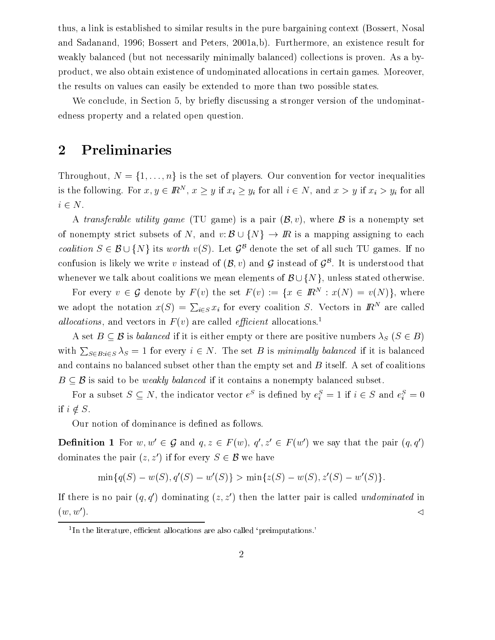thus, a link is established to similar results in the pure bargaining context (Bossert, Nosal and Sadanand, 1996; Bossert and Peters, 2001a,b). Furthermore, an existence result for weakly balanced (but not necessarily minimally balanced) collections is proven. As a byproduct, we also obtain existence of undominated allocations in certain games. Moreover, the results on values can easily be extended to more than two possible states.

We conclude, in Section 5, by briefly discussing a stronger version of the undominatedness property and a related open question.

# 2 Preliminaries

Throughout,  $N = \{1, \ldots, n\}$  is the set of players. Our convention for vector inequalities is the following. For  $x, y \in I\!\!R^+$ ,  $x \geq y$  if  $x_i \geq y_i$  for all  $i \in N$ , and  $x > y$  if  $x_i > y_i$  for all <sup>i</sup> 2 N.

A transferable utility game (TU game) is a pair  $(\mathcal{B}, v)$ , where  $\mathcal B$  is a nonempty set of nonempty strict subsets of N, and v: B[fNg ! IR is <sup>a</sup> mapping assigning to each coalition  $S \in \mathcal{B} \cup \{N\}$  its worth  $v(S)$ . Let  $\mathcal{G}^{\mathcal{B}}$  denote the set of all such TU games. If no confusion is fikely we write  $v$  instead of  $(\mathcal{D}, v)$  and  $\mathcal{G}$  instead of  $\mathcal{G}^+$ . It is understood that whenever we talk about coalitions we mean elements of  $\mathcal{B}\cup\{N\}$ , unless stated otherwise.

For every  $v \in G$  denote by  $F(v)$  the set  $F(v) := \{x \in R^{\sim} : x(v) = v(v) \}$ , where we adopt the notation  $x(S) = \sum_{i \in S} x_i$  for every coalition S. Vectors in  $I\!\!R^N$  are called *allocations*, and vectors in  $F(v)$  are called *efficient* allocations.<sup>1</sup>

A set  $B \subseteq \mathcal{B}$  is balanced if it is either empty or there are positive numbers  $\lambda_S$  ( $S \in B$ ) with  $\sum_{S \in B: i \in S} \lambda_S = 1$  for every  $i \in N$ . The set B is minimally balanced if it is balanced and contains no balanced subset other than the empty set and  $B$  itself. A set of coalitions  $\mathbf{B} = \mathbf{B} \mathbf{B}$  is satisfied if it contains a non-mpty balanced subset. If  $\mathbf{v}$ 

For a subset  $S \subseteq N$ , the indicator vector e is defined by  $e_i = 1$  if  $i \in S$  and  $e_i = 0$ if  $i \notin S$ .

Our notion of dominance is defined as follows.

**Demition 1** For  $w, w \in \mathcal{G}$  and  $y, z \in F(w)$ ,  $y, z \in F(w)$  we say that the pair  $(g, q)$ dominates the pair  $(z, z')$  if for every  $S \in \mathcal{B}$  we have

$$
\min\{q(S) - w(S), q'(S) - w'(S)\} > \min\{z(S) - w(S), z'(S) - w'(S)\}.
$$

If there is no pair  $(q, q')$  dominating  $(z, z')$  then the latter pair is called undominated in (w, w).  $\leq$ 

 $\rm{^{1}In}$  the literature, efficient allocations are also called 'preimputations.'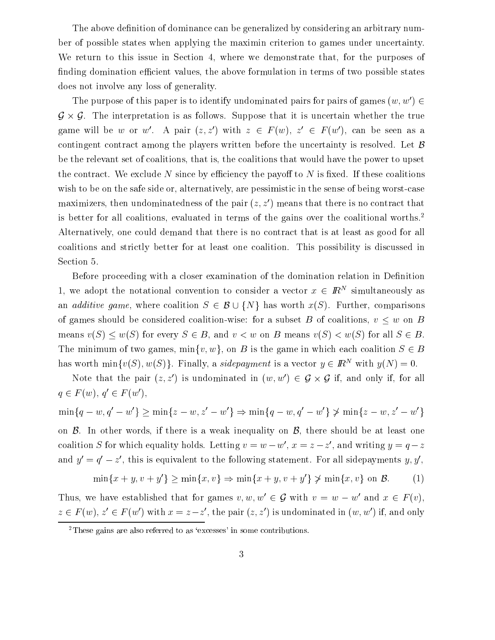The above definition of dominance can be generalized by considering an arbitrary number of possible states when applying the maximin criterion to games under uncertainty. We return to this issue in Section 4, where we demonstrate that, for the purposes of finding domination efficient values, the above formulation in terms of two possible states does not involve any loss of generality.

The purpose of this paper is to identify undominated pairs for pairs of games  $(w, w') \in$ G - G. The interpretation is as follows. Suppose that it is uncertain whether the true game will be  $w$  or  $w$ . A pair (z,z) with  $z \in$   $r(w)$ ,  $z \in$   $r(w)$ , can be seen as a contingent contract among the players written before the uncertainty is resolved. Let  $\beta$ be the relevant set of coalitions, that is, the coalitions that would have the power to upset the contract. We exclude N since by efficiency the payoff to N is fixed. If these coalitions wish to be on the safe side or, alternatively, are pessimistic in the sense of being worst-case maximizers, then undominatedness of the pair  $(z, z')$  means that there is no contract that is better for all coalitions, evaluated in terms of the gains over the coalitional worths.<sup>2</sup> Alternatively, one could demand that there is no contract that is at least as good for all coalitions and strictly better for at least one coalition. This possibility is discussed in Section 5.

Before proceeding with a closer examination of the domination relation in Definition 1, we adopt the notational convention to consider a vector  $x \in I\!\!R^+$  simultaneously as and additive games, where coalitions S 2 B[fM] has worth  $\sim$  1 B[fM]. Further, comparisons worth  $\sim$ of games should be considered coalition-wise: for a subset <sup>B</sup> of coalitions, <sup>v</sup> <sup>w</sup> on <sup>B</sup> means v( $S$ ) w( $S$ ) for every  $S$   $\subset$   $B$  ( which v  $\infty$  will be means v( $S$ )  $\infty$  will sufficiently  $\subset$   $B$  . The minimum of two games,  $\min\{v, w\}$ , on B is the game in which each coalition  $S \in B$ has worth  $\min\{v(S), w(S)\}\)$ . Finally, a sidepayment is a vector  $y \in \mathbb{R}^N$  with  $y(N) = 0$ .

Note that the pair  $(z, z)$  is undominated in  $(w, w) \in \mathcal{G} \times \mathcal{G}$  if, and only if, for all  $q \in F(w)$ ,  $q \in F(w)$ ,

$$
\min\{q - w, q' - w'\} \ge \min\{z - w, z' - w'\} \Rightarrow \min\{q - w, q' - w'\} \not\ge \min\{z - w, z' - w'\}
$$
\non\n
$$
\mathcal{B}.
$$
 In other words, if there is a weak inequality on  $\mathcal{B}$ , there should be at least one  
\ncoalition  $S$  for which equality holds. Letting  $v = w - w'$ ,  $x = z - z'$ , and writing  $y = q - z$ 

and 
$$
y' = q' - z'
$$
, this is equivalent to the following statement. For all side payments  $y, y'$ ,

$$
\min\{x+y, v+y'\} \ge \min\{x, v\} \Rightarrow \min\{x+y, v+y'\} \not> \min\{x, v\} \text{ on } \mathcal{B}.\tag{1}
$$

Thus, we have established that for games  $v, w, w' \in \mathcal{G}$  with  $v = w - w'$  and  $x \in F(v)$ ,  $z \in F(w)$ ,  $z \in F(w)$  with  $x = z - z$  , the pair  $(z, z)$  is undominated in (w, w) if, and only

<sup>&</sup>lt;sup>2</sup>These gains are also referred to as 'excesses' in some contributions.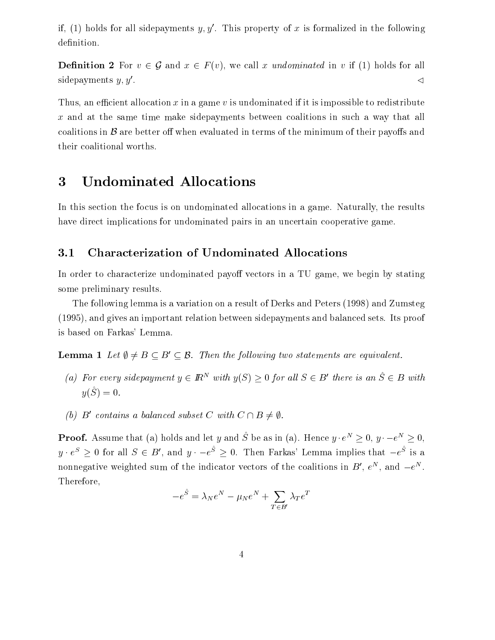if, (1) holds for all sidepayments y, y'. This property of x is formalized in the following definition.

 $\blacksquare$  . The contract  $\blacksquare$   $\blacksquare$   $\blacksquare$   $\blacksquare$   $\blacksquare$   $\blacksquare$   $\blacksquare$   $\blacksquare$   $\blacksquare$   $\blacksquare$   $\blacksquare$   $\blacksquare$   $\blacksquare$   $\blacksquare$   $\blacksquare$   $\blacksquare$   $\blacksquare$   $\blacksquare$   $\blacksquare$   $\blacksquare$   $\blacksquare$   $\blacksquare$   $\blacksquare$   $\blacksquare$   $\blacksquare$   $\blacksquare$   $\blacksquare$   $\blacksquare$   $\bl$ sidepayments  $y, y'$ .

Thus, an efficient allocation x in a game v is undominated if it is impossible to redistribute <sup>x</sup> and at the same time make sidepayments between coalitions in such a way that all coalitions in  $\beta$  are better off when evaluated in terms of the minimum of their payoffs and their coalitional worths.

#### Undominated Allocations 3

In this section the focus is on undominated allocations in a game. Naturally, the results have direct implications for undominated pairs in an uncertain cooperative game.

### 3.1 Characterization of Undominated Allocations

In order to characterize undominated payoff vectors in a TU game, we begin by stating some preliminary results.

The following lemma is a variation on a result of Derks and Peters (1998) and Zumsteg (1995), and gives an important relation between sidepayments and balanced sets. Its proof is based on Farkas' Lemma.

**Lemma 1** Let  $\emptyset \neq B \subseteq B' \subseteq \mathcal{B}$ . Then the following two statements are equivalent.

- (a) For every sidepayment  $y \in \mathbb{R}^N$  with  $y(S) > 0$  for all  $S \in B'$  there is an  $\hat{S} \in B$  with  $y\cup y=0.$
- (b)  $\mathbf{D}$  contains a balanced subset C with  $\mathbf{C} \sqcup \mathbf{D} \neq \emptyset$ .

**Proof.** Assume that (a) holds and let y and  $\hat{S}$  be as in (a). Hence  $y \cdot e^N > 0$ ,  $y \cdot -e^N > 0$ .  $y \cdot e^s \geq 0$  for all  $S \in B'$ , and  $y \cdot -e^s \geq 0$ . Then Farkas' Lemma implies that  $-e^s$  is a nonnegative weighted sum of the indicator vectors of the coalitions in  $D$  ,  $e$  , and  $-e$  , Therefore,

$$
-e^{\hat{S}} = \lambda_N e^N - \mu_N e^N + \sum_{T \in B'} \lambda_T e^T
$$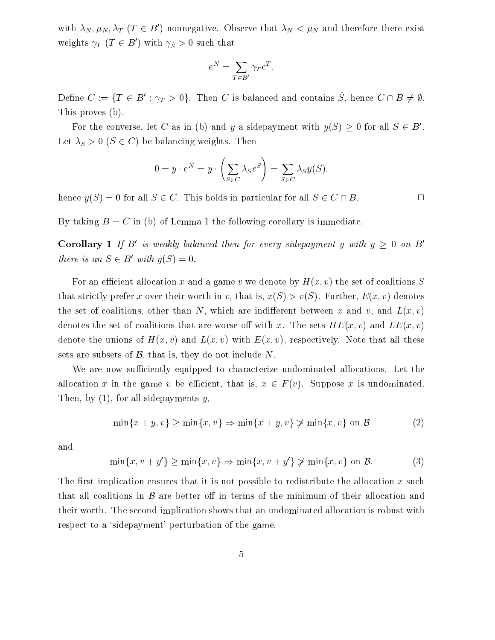with  $\lambda_N, \mu_N, \lambda_T$  (T  $\in B'$ ) nonnegative. Observe that  $\lambda_N < \mu_N$  and therefore there exist weights  $\gamma_T$  ( $\textit{I} \in D$  ) with  $\gamma_{\hat{S}} > 0$  such that

$$
e^N = \sum_{T \in B'} \gamma_T e^T.
$$

Define  $C := \{ I \in D : \gamma_T > 0 \}$ . Then C is balanced and contains  $S$ , hence  $C \sqcup D \neq \emptyset$ . This proves (b).

For the converse, let C as in (b) and y a sidepayment with  $y(\beta) \geq 0$  for all  $\beta \in B$ . Let  $\lambda_S > 0$  ( $S \in C$ ) be balancing weights. Then

$$
0 = y \cdot e^N = y \cdot \left(\sum_{S \in C} \lambda_S e^S\right) = \sum_{S \in C} \lambda_S y(S),
$$

hence  $y(S) = 0$  for all  $S \in C$ . This holds in particular for all  $S \in C \cap B$ .

By taking  $B = C$  in (b) of Lemma 1 the following corollary is immediate.

 $\bf$  Corollary 1 If  $D$  is weakly balanced then for every sidepayment y with  $y > 0$  on  $D$ there is an  $S \in B$  with  $y(S) \equiv 0$ .

For an efficient allocation x and a game v we denote by  $H(x, v)$  the set of coalitions S that strictly prefer x over their worth in v, that is,  $x(S) > v(S)$ . Further,  $E(x, v)$  denotes the set of coalitions, other than N, which are indifferent between x and v, and  $L(x, v)$ denotes the set of coalitions that are worse off with x. The sets  $HE(x, v)$  and  $LE(x, v)$ denote the unions of  $H(x, v)$  and  $L(x, v)$  with  $E(x, v)$ , respectively. Note that all these sets are subsets of  $\mathcal{B}$ , that is, they do not include N.

We are now sufficiently equipped to characterize undominated allocations. Let the allocation in the categories v be economic that is,  $\mathbf{r} \in \mathbf{r}$  (v). Suppose  $\mathbf{r}$  is understanding. Then, by  $(1)$ , for all sidepayments y,

$$
\min\{x+y, v\} \ge \min\{x, v\} \Rightarrow \min\{x+y, v\} \not> \min\{x, v\} \text{ on } \mathcal{B}
$$
 (2)

and

$$
\min\{x, v + y'\} \ge \min\{x, v\} \Rightarrow \min\{x, v + y'\} \not> \min\{x, v\} \text{ on } \mathcal{B}.
$$
 (3)

The first implication ensures that it is not possible to redistribute the allocation x such their worth. The second implication shows that an undominated allocation is robust with respect to a 'sidepayment' perturbation of the game.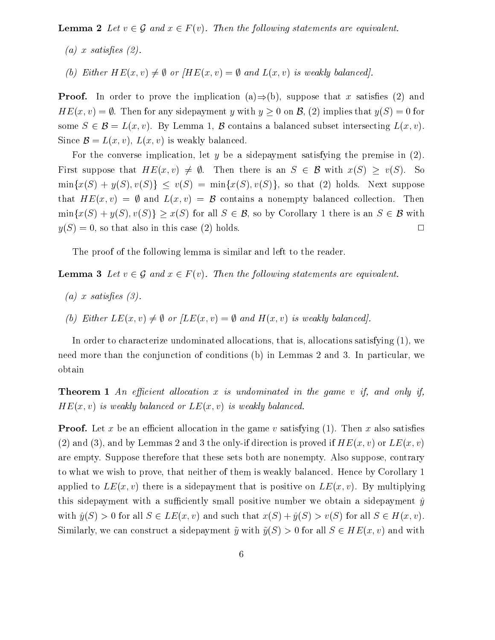$\mathcal{L}$  and  $\mathcal{L}$  and  $\mathcal{L}$  are following  $\mathcal{L}$  . Then the following statements are equivalent.

- (a) x satisfies  $(2)$ .
- (b) Either  $HE(x, v) \neq \emptyset$  or  $H E(x, v) = \emptyset$  and  $L(x, v)$  is weakly balanced].

**Proof.** In order to prove the implication (a) $\Rightarrow$ (b), suppose that x satisfies (2) and  $HE(x, v) = \emptyset$ . Then for any sidepayment y with  $y \ge 0$  on  $\mathcal{B}$ , (2) implies that  $y(S) = 0$  for some  $S \subset \mathcal{D}$  such that  $S$  is defining  $\mathcal{D}$  contains a balanced subset intersecting  $B(w)$ .  $S = \{x_i, y_i, y_j\}$  is the set of the set of  $\{x_i, y_j\}$  becomes the set of  $\{x_i, y_j\}$ 

For the converse implication, let y be a sidepayment satisfying the premise in  $(2)$ . First suppose that  $HE(x, v) \neq \emptyset$ . Then there is an  $S \in \mathcal{B}$  with  $x(S) \geq v(S)$ . So  $\min\{x(S) + y(S), v(S)\} \leq v(S) = \min\{x(S), v(S)\}\$ , so that (2) holds. Next suppose that  $HE(x, v) = \emptyset$  and  $L(x, v) = \mathcal{B}$  contains a nonempty balanced collection. Then  $\min\{x(S) + y(S), v(S)\} \geq x(S)$  for all  $S \in \mathcal{B}$ , so by Corollary 1 there is an  $S \in \mathcal{B}$  with  $y(S) = 0$ , so that also in this case (2) holds.

The proof of the following lemma is similar and left to the reader.

 $\textbf{I} = \textbf{I} \times \textbf{I}$  is a following statement are equivalent. Then the following statements are equivalent.

- (a) x satisfies  $(3)$ .
- (b) Either  $LE(x, v) \neq \emptyset$  or  $/LE(x, v) = \emptyset$  and  $H(x, v)$  is weakly balanced].

In order to characterize undominated allocations, that is, allocations satisfying (1), we need more than the conjunction of conditions (b) in Lemmas 2 and 3. In particular, we obtain

**Theorem 1** An efficient allocation x is undominated in the game v if, and only if,  $HE(x, v)$  is weakly balanced or  $LE(x, v)$  is weakly balanced.

**Proof.** Let x be an efficient allocation in the game v satisfying  $(1)$ . Then x also satisfies (2) and (3), and by Lemmas 2 and 3 the only-if direction is proved if  $HE(x, v)$  or  $LE(x, v)$ are empty. Suppose therefore that these sets both are nonempty. Also suppose, contrary to what we wish to prove, that neither of them is weakly balanced. Hence by Corollary 1 applied to  $LE(x, v)$  there is a sidepayment that is positive on  $LE(x, v)$ . By multiplying this sidepayment with a sufficiently small positive number we obtain a sidepayment  $\hat{y}$ with  $\hat{y}(S) > 0$  for all  $S \in LE(x, v)$  and such that  $x(S) + \hat{y}(S) > v(S)$  for all  $S \in H(x, v)$ . Similarly, we can construct a sidepayment  $\tilde{y}$  with  $\tilde{y}(S) > 0$  for all  $S \in HE(x, v)$  and with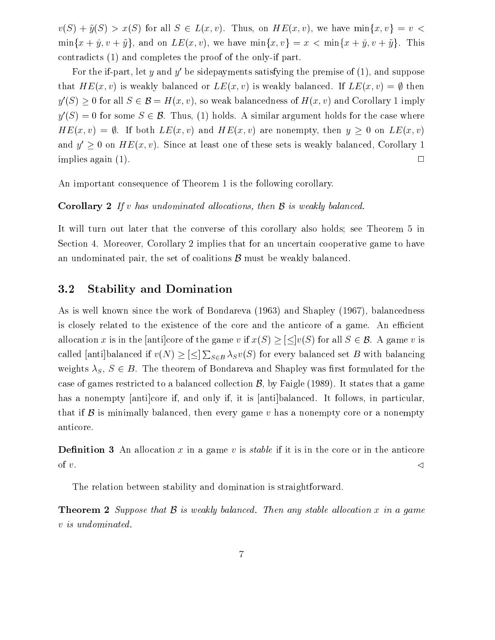$\mathcal{L}(\mathcal{S}) \rightarrow \mathcal{S}(\mathcal{S})$  with the control state  $\mathcal{S}$  . Thus, on HE(x; v), we have minimize  $\mathcal{S}(\mathcal{S})$  $min\{x + \hat{y}, v + \tilde{y}\}\$ , and on  $LE(x, v)$ , we have  $min\{x, v\} = x < min\{x + \hat{y}, v + \tilde{y}\}\$ . This contradicts (1) and completes the proof of the only-if part.

For the if-part, let y and y' be sidepayments satisfying the premise of  $(1)$ , and suppose that  $HE(x, v)$  is weakly balanced or  $LE(x, v)$  is weakly balanced. If  $LE(x, v) = \emptyset$  then  $y(\mathcal{S}) \geq 0$  for all  $\mathcal{S} \in \mathcal{B} = H(x, v)$ , so weak balancedness of  $H(x, v)$  and Corollary 1 imply  $y'(S)=0$  for some  $S \in \mathcal{B}$ . Thus, (1) holds. A similar argument holds for the case where  $HE(x, v) = \emptyset$ . If both  $LE(x, v)$  and  $HE(x, v)$  are nonempty, then  $y \geq 0$  on  $LE(x, v)$ and  $y > 0$  on  $H$   $E(x, v)$ . Since at least one of these sets is weakly balanced, Corollary 1 implies again (1).  $\Box$ 

An important consequence of Theorem 1 is the following corollary.

### **Corollary 2** If v has undominated allocations, then  $\mathcal{B}$  is weakly balanced.

It will turn out later that the converse of this corollary also holds; see Theorem 5 in Section 4. Moreover, Corollary 2 implies that for an uncertain cooperative game to have an undominated pair, the set of coalitions  $\beta$  must be weakly balanced.

## 3.2 Stability and Domination

As is well known since the work of Bondareva (1963) and Shapley (1967), balancedness is closely related to the existence of the core and the anticore of a game. An efficient allocation x is in the [anti]core of the game v if  $x(S) \geq \lfloor \leq v(S) \rfloor$  for all  $S \in \mathcal{B}$ . A game v is called |anti|balanced if  $v(N) \geq |\leq| \sum_{S \in B} \lambda_S v(S)$  for every balanced set B with balancing weights  $\lambda_S, S \in B$ . The theorem of Bondareva and Shapley was first formulated for the case of games restricted to a balanced collection  $\mathcal{B}$ , by Faigle (1989). It states that a game has a nonempty [anti]core if, and only if, it is [anti]balanced. It follows, in particular, that if B is minimally balanced, then every game <sup>v</sup> has <sup>a</sup> nonempty core or <sup>a</sup> nonempty anticore.

**Definition 3** An allocation x in a game v is *stable* if it is in the core or in the anticore of v. S. Andrew Communication and the communication of the communication of the communication of the communication of the communication of the communication of the communication of the communication of the communication of

The relation between stability and domination is straightforward.

Theorem <sup>2</sup> Suppose that B is weakly balanced. Then any stable al location <sup>x</sup> in <sup>a</sup> game <sup>v</sup> is undominated.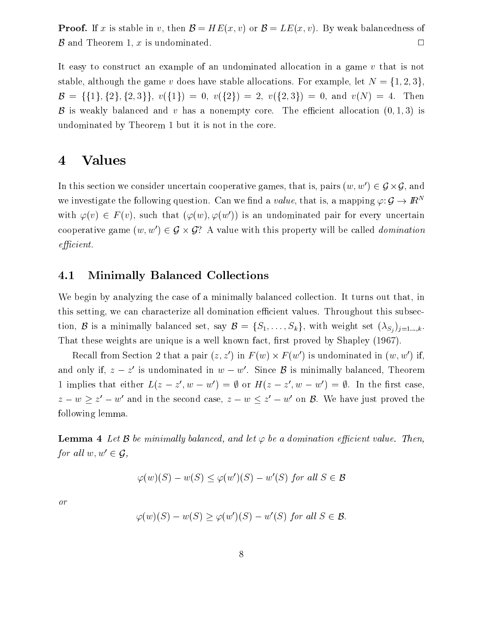**Proof.** If x is stable in v, then  $\mathcal{B} = HE(x, v)$  or  $\mathcal{B} = LE(x, v)$ . By weak balancedness of  $\beta$  and Theorem 1, x is undominated.  $\Box$ 

It easy to construct an example of an undominated allocation in a game <sup>v</sup> that is not stable, although the game v does have stable allocations. For example, let  $N = \{1, 2, 3\},\$  $\mathcal{B} = \{\{1\}, \{2\}, \{2,3\}\}, v(\{1\}) = 0, v(\{2\}) = 2, v(\{2,3\}) = 0, \text{ and } v(N) = 4.$  Then B is weakly balanced and v has a nonempty core. The efficient allocation  $(0, 1, 3)$  is undominated by Theorem 1 but it is not in the core.

## 4 Values

In this section we consider uncertain cooperative games, that is, pairs  $(w, w^-)\in {\bf y}\times{\bf y},$  and we investigate the following question. Can we find a value, that is, a mapping  $\varphi: \mathcal{G} \to \mathbb{R}^N$ with  $\varphi(v) \in F(v)$ , such that  $(\varphi(w), \varphi(w'))$  is an undominated pair for every uncertain cooperative game  $(w, w) \in \mathcal{G} \times \mathcal{G}$ : A value with this property will be called *aomination*  $efficient.$ 

### 4.1 Minimally Balanced Collections

We begin by analyzing the case of a minimally balanced collection. It turns out that, in this setting, we can characterize all domination efficient values. Throughout this subsection, <sup>B</sup> is <sup>a</sup> minimally balanced set, say <sup>B</sup> <sup>=</sup> fS1;:::;Skg, with weight set (Sj )j=1:::;k. That these weights are unique is a well known fact, first proved by Shapley (1967).

Recall from Section 2 that a pair  $(z, z)$  in F (w)  $\times$  F (w)) is undominated in (w, w) if, and only if,  $z = z$  is undominated in  $w = w$ . Since  $\bm{\beta}$  is minimally balanced, Theorem 1 implies that either  $L(z - z, w - w) = y$  or  $\pi(z - z, w - w) = y$ . In the first case,  $z - w \geq z - w$  and in the second case,  $z - w \leq z - w$  on  $\mathcal{D}$ . We have just proved the following lemma.

**Lemma 4** Let B be minimally balanced, and let  $\varphi$  be a domination efficient value. Then, for all  $w, w' \in \mathcal{G}$ ,

$$
\varphi(w)(S) - w(S) \le \varphi(w')(S) - w'(S) \text{ for all } S \in \mathcal{B}
$$

or

$$
\varphi(w)(S) - w(S) \ge \varphi(w')(S) - w'(S) \text{ for all } S \in \mathcal{B}.
$$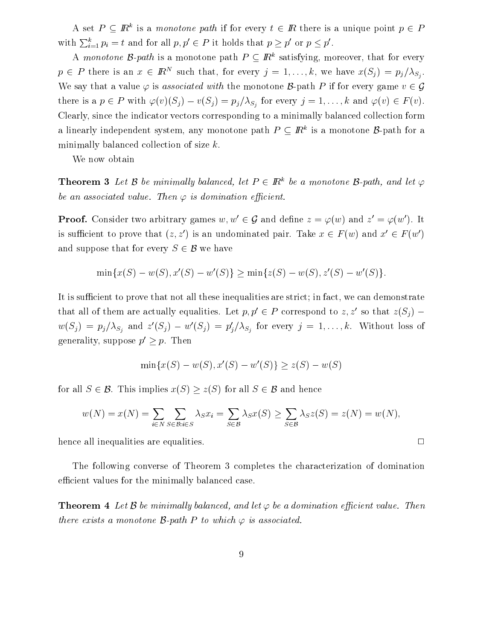A set  $P \subseteq I\!\!R$  is a monotone path if for every  $t \in I\!\!R$  there is a unique point  $p \in P$ with  $\sum_{i=1}^k p_i = t$  and for all  $p, p' \in P$  it holds that  $p \geq p'$  or  $p \leq p'$ .

A *monotone B-path* is a monotone path  $P \subseteq I\!\!R^*$  satisfying, moreover, that for every  $p \in P$  there is an  $x \in \mathbb{R}^N$  such that, for every  $j = 1, \ldots, \kappa$ , we have  $x(s_j) = p_j/\lambda_{S_j}$ . We say that a value  $\varphi$  is associated with the monotone B-path P if for every game  $v \in \mathcal{G}$ there is a  $p \in P$  with  $\varphi(v)(S_j) - v(S_j) = p_j/\lambda_{S_j}$  for every  $j = 1,\ldots,k$  and  $\varphi(v) \in F(v).$ Clearly, since the indicator vectors corresponding to a minimally balanced collection form a mearly independent system, any monotone path  $P\subseteq I\!\!R$  is a monotone  $D$ -path for a minimally balanced collection of size  $k$ .<br>We now obtain

**Theorem 3** Let  $\beta$  be minimally balanced, let  $P \in I\!\!R^{\alpha}$  be a monotone  $\beta$ -path, and let  $\varphi$ be an associated value. Then  $\varphi$  is domination efficient.

**Proof.** Consider two arbitrary games  $w, w' \in \mathcal{G}$  and define  $z = \varphi(w)$  and  $z' = \varphi(w')$ . It is sufficient to prove that  $(z, z')$  is an undominated pair. Take  $x \in F(w)$  and  $x' \in F(w')$ and suppose that for every  $S \in \mathcal{B}$  we have

$$
\min\{x(S) - w(S), x'(S) - w'(S)\} \ge \min\{z(S) - w(S), z'(S) - w'(S)\}.
$$

It is sufficient to prove that not all these inequalities are strict; in fact, we can demonstrate that all of them are actually equalities. Let  $p, p' \in P$  correspond to  $z, z'$  so that  $z(S_i)$  –  $w(S_j) = p_j/\lambda_{S_j}$  and  $z(S_j) - w(S_j) = p_j/\lambda_{S_j}$  for every  $j = 1,\ldots,k$ . Without loss of generality, suppose  $p' \geq p$ . Then

$$
\min\{x(S) - w(S), x'(S) - w'(S)\} \ge z(S) - w(S)
$$

for all  $S \in \mathcal{B}$ . This implies  $x(S) \geq z(S)$  for all  $S \in \mathcal{B}$  and hence

$$
w(N) = x(N) = \sum_{i \in N} \sum_{S \in \mathcal{B}: i \in S} \lambda_S x_i = \sum_{S \in \mathcal{B}} \lambda_S x(S) \ge \sum_{S \in \mathcal{B}} \lambda_S z(S) = z(N) = w(N),
$$

hence all inequalities are equalities.

The following converse of Theorem 3 completes the characterization of domination efficient values for the minimally balanced case.

**Theorem 4** Let  $\mathcal B$  be minimally balanced, and let  $\varphi$  be a domination efficient value. Then there exists a monotone  $\mathcal B\text{-}$ path  $P$  to which  $\varphi$  is associated.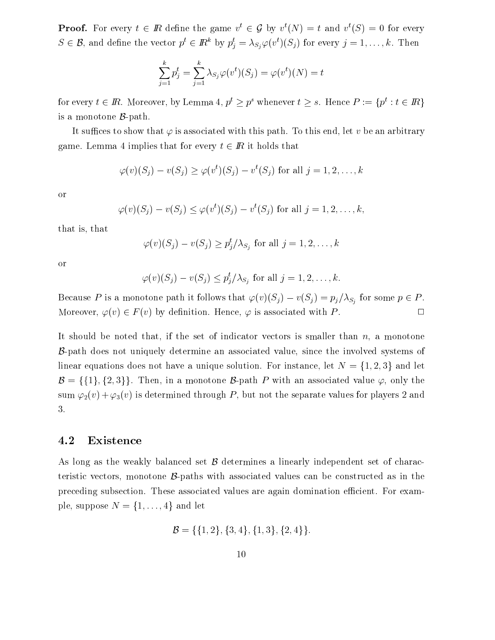**Proof.** For every  $t \in I\!\!R$  define the game  $v_{\ell} \in \mathcal{G}$  by  $v_{\ell}(N) = t$  and  $v_{\ell}(S) = 0$  for every  $S \in \mathcal{B}$ , and define the vector  $p^* \in I\!\!R^*$  by  $p_j^* = \lambda_{S_j} \varphi(v^*)(S_j)$  for every  $j = 1, \ldots, k$ . Then

$$
\sum_{j=1}^k p_j^t = \sum_{j=1}^k \lambda_{S_j} \varphi(v^t)(S_j) = \varphi(v^t)(N) = t
$$

for every  $t \in I\!\!R$ . Moreover, by Lemma 4,  $p > p$  whenever  $t > s$ . Hence  $P := \{p : t \in I\!\!R\}$ is a monotone B-path.

It suffices to show that  $\varphi$  is associated with this path. To this end, let v be an arbitrary game. Lemma 4 implies that for every  $t \in \mathbb{R}$  it holds that

$$
\varphi(v)(S_j) - v(S_j) \ge \varphi(v^t)(S_j) - v^t(S_j) \text{ for all } j = 1, 2, \dots, k
$$

or

$$
\varphi(v)(S_j) - v(S_j) \leq \varphi(v^t)(S_j) - v^t(S_j) \text{ for all } j = 1, 2, \dots, k,
$$

that is, that

$$
\varphi(v)(S_j) - v(S_j) \ge p_j^t / \lambda_{S_j} \text{ for all } j = 1, 2, \dots, k
$$

or

$$
\varphi(v)(S_j) - v(S_j) \le p_j^t / \lambda_{S_j} \text{ for all } j = 1, 2, \dots, k.
$$

Because P is a monotone path it follows that  $\varphi(v)(S_j) - v(S_j) = p_j/\lambda_{S_j}$  for some  $p \in P$ . Moreover,  $\varphi(v) \in F(v)$  by definition. Hence,  $\varphi$  is associated with P.

It should be noted that, if the set of indicator vectors is smaller than  $n$ , a monotone B-path does not uniquely determine an associated value, since the involved systems of linear equations does not have a unique solution. For instance, let  $N = \{1, 2, 3\}$  and let  $\mathcal{B} = \{\{1\}, \{2,3\}\}\.$  Then, in a monotone  $\mathcal{B}$ -path P with an associated value  $\varphi$ , only the sum  $\varphi_2(v) + \varphi_3(v)$  is determined through P, but not the separate values for players 2 and 3.

### 4.2 Existence

As long as the weakly balanced set B determines <sup>a</sup> linearly independent set of characteristic vectors, monotone B-paths with associated values can be constructed as in the preceding subsection. These associated values are again domination efficient. For example, suppose  $N = \{1, \ldots, 4\}$  and let

$$
\mathcal{B} = \{ \{1, 2\}, \{3, 4\}, \{1, 3\}, \{2, 4\} \}.
$$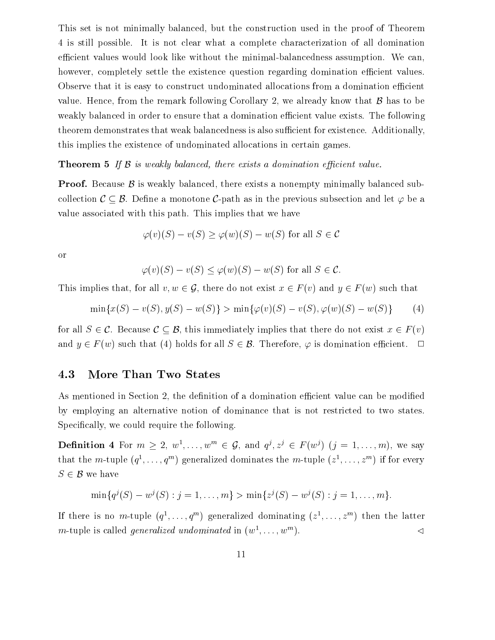This set is not minimally balanced, but the construction used in the proof of Theorem 4 is still possible. It is not clear what a complete characterization of all domination efficient values would look like without the minimal-balancedness assumption. We can, however, completely settle the existence question regarding domination efficient values. Observe that it is easy to construct undominated allocations from a domination efficient value. Hence, from the remark following Corollary 2, we already know that  $\beta$  has to be weakly balanced in order to ensure that a domination efficient value exists. The following theorem demonstrates that weak balancedness is also sufficient for existence. Additionally, this implies the existence of undominated allocations in certain games.

### Theorem <sup>5</sup> If B is weakly balanced, there exists <sup>a</sup> domination ecient value.

Proof. Because B is weakly balanced, there exists <sup>a</sup> nonempty minimally balanced subcollection  $\mathcal{C} \subseteq \mathcal{B}.$  Define a monotone C-path as in the previous subsection and let  $\varphi$  be a value associated with this path. This implies that we have

$$
\varphi(v)(S) - v(S) \ge \varphi(w)(S) - w(S)
$$
 for all  $S \in \mathcal{C}$ 

or

$$
\varphi(v)(S) - v(S) \le \varphi(w)(S) - w(S) \text{ for all } S \in \mathcal{C}.
$$

This implies that, for all  $v, w \in \mathcal{G}$ , there do not exist  $x \in F(v)$  and  $y \in F(w)$  such that

$$
\min\{x(S) - v(S), y(S) - w(S)\} > \min\{\varphi(v)(S) - v(S), \varphi(w)(S) - w(S)\}\tag{4}
$$

for all  $S \in \mathcal{C}$ . Because  $\mathcal{C} \subseteq \mathcal{B}$ , this immediately implies that there do not exist  $x \in F(v)$ and  $y \in F$  (w) such that (4) holds for all  $S \in \mathcal{B}$ . Therefore,  $\varphi$  is domination efficient.  $\Box$ 

### 4.3 More Than Two States

As mentioned in Section 2, the definition of a domination efficient value can be modified by employing an alternative notion of dominance that is not restricted to two states. Specifically, we could require the following.

**Definition** 4 for  $m > 2, w^2, \ldots, w^m \in Q$ , and  $q^j, z^j \in F(w^j)$  ( $j = 1, \ldots, m$ ), we say that the  $m$ -tuple  $(q_1, \ldots, q_n)$  generalized dominates the  $m$ -tuple  $(z_1, \ldots, z_n)$  if for every <sup>S</sup> 2 B we have

$$
\min\{q^j(S) - w^j(S) : j = 1, \dots, m\} > \min\{z^j(S) - w^j(S) : j = 1, \dots, m\}.
$$

If there is no  $m$ -tuple  $(q^+, \ldots, q^m)$  generalized dominating  $(z^*, \ldots, z^m)$  then the latter *m*-tuple is called *generalized undominated* in  $(w^1, \ldots, w^m)$ .  $\blacksquare$ ). The contract of the contract of the contract of the contract of the contract of the contract of the contract of the contract of the contract of the contract of the contract of the contract of the contract of the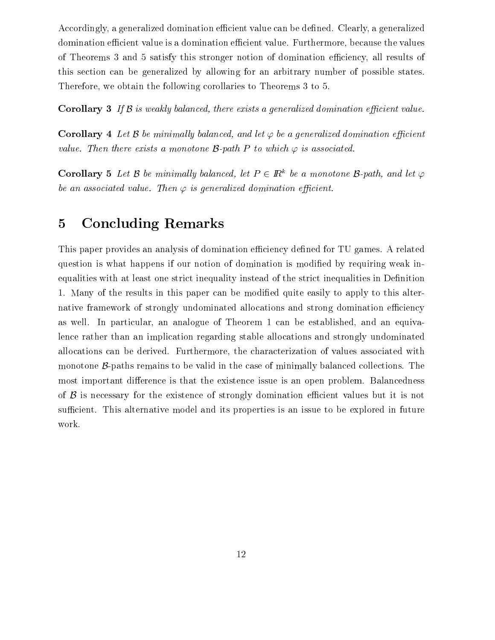Accordingly, a generalized domination efficient value can be defined. Clearly, a generalized domination efficient value is a domination efficient value. Furthermore, because the values of Theorems 3 and 5 satisfy this stronger notion of domination eciency, all results of this section can be generalized by allowing for an arbitrary number of possible states. Therefore, we obtain the following corollaries to Theorems 3 to 5.

**Corollary 3** If  $\beta$  is weakly balanced, there exists a generalized domination efficient value.

**Corollary 4** Let  $\beta$  be minimally balanced, and let  $\varphi$  be a generalized domination efficient value. Inen there exists a monotone  ${\mathcal B}$ -path  $P$  to which  $\varphi$  is associated.

**Corollary 5** Let B be minimally balanced, let  $P \in \mathbb{R}^k$  be a monotone B-path, and let  $\varphi$ be an associated value. Then  $\varphi$  is generalized domination efficient.

## 5 Concluding Remarks

This paper provides an analysis of domination efficiency defined for TU games. A related question is what happens if our notion of domination is modied by requiring weak inequalities with at least one strict inequality instead of the strict inequalities in Definition 1. Many of the results in this paper can be modied quite easily to apply to this alternative framework of strongly undominated allocations and strong domination efficiency as well. In particular, an analogue of Theorem 1 can be established, and an equivalence rather than an implication regarding stable allocations and strongly undominated allocations can be derived. Furthermore, the characterization of values associated with monotone B-paths remains to be valid in the case of minimally balanced collections. The most important difference is that the existence issue is an open problem. Balancedness of B is necessary for the existence of strongly domination ecient values but it is not sufficient. This alternative model and its properties is an issue to be explored in future work.